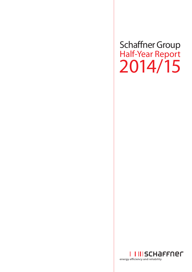# Schaffner Group Half-Year Report 2014/15

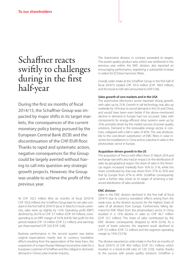# Schaffner reacts swiftly to challenges during in the first half-year

During the first six months of fiscal 2014/15, the Schaffner Group was impacted by major shifts in its target markets, the consequences of the current monetary policy being pursued by the European Central Bank (ECB) and the discontinuation of the CHF/EUR floor. Thanks to rapid and systematic action, negative consequences for the Group could be largely averted without having to call into question any strategic growth projects. However, the Group was unable to achieve the profit of the previous year.

At CHF 102.5 million (first six months of fiscal 2013/14: CHF 102.6 million), the Schaffner Group kept its net sales constant in the first half of 2014/15 (as at 31 March). In local currencies, sales were up slightly by 1.4%. Operating profit (EBIT) declined by 24.2% to CHF 3.7 million (CHF 4.9 million), corresponding to an EBIT margin of 3.6% (4.8%). Net profit for the period totaled CHF 1.9 million (CHF 3.2 million), and earnings per share reached CHF 3.02 (CHF 5.08).

Business performance in the second quarter was below original expectations mainly due to currency translation effects resulting from the appreciation of the Swiss franc, the suspension of a major Russian Railways locomotive order for a European customer of Schaffner and the collapse in domestic demand in China's solar inverter industry.

The Automotive division, in contrast, exceeded its targets. The power quality product area, which was reinforced in the previous year within the EMC division, also reported an encouraging performance, registering a substantial increase in orders for ECOsine harmonic filters.

Overall, order intake at the Schaffner Group in the first half of fiscal 2014/15 totaled CHF 101.4 million (CHF 108.9 million), and the book-to-bill ratio amounted to 0.99 (1.06).

### **Sales growth of core markets and in the USA**

The automotive electronics sector reported strong growth, with sales up by 25%. Growth in rail technology was also up markedly by 16% due to sound demand in the US and China, and would have been even better if the above-mentioned decline in demand in Europe had not occurred. Sales with components for energy-efficient drive systems were up by 10%, primarily driven by the market success of power quality solutions. Demand in the renewable energy sector, in contrast, collapsed with a fall in sales of 40%. This was attributable to the cost-driven substitution of EMC filters in solar inverters for installations in China and to a decline in sales in the photovoltaic sector in Europe.

### **Acquisition-driven growth in the US**

The acquisition of Trenco with effect from 31 March 2014 and exchange rate shifts also had an impact on the distribution of sales by geographical region: the share of sales in the Americas region increased markedly from 16% to 21%, while the share contributed by Asia was down from 37% to 35% and that by Europe from 47% to 44%. Schaffner consequently came a further step closer to its target of achieving a balanced distribution of sales worldwide.

#### **EMC division**

Sales in the EMC division declined in the first half of fiscal 2014/15 due to currency translation effects arising from the weak euro, as the division accounts for the highest share of sales of all divisions from Europe. Furthermore, falling demand for EMC filters from the photovoltaics sector in China resulted in a 13% decline in sales to CHF 46.7 million (CHF 53.7 million). The share of sales contributed by the EMC division consequently dropped to 46% (52%). As a result of lower volumes, the segment result declined to CHF 3.5 million (CHF 7.2 million) and the segment operating margin to 7.4% (13.5%).

The division reported an order intake in the first six months of fiscal 2014/15 of CHF 49.0 million (CHF 55.1 million), which resulted in a book-to-bill ratio of 1.05 (1.03), mainly thanks to the success with power quality solutions. Schaffner is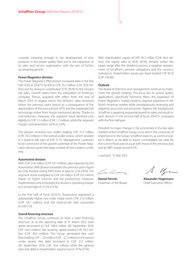currently investing strongly in the development of new products in the power quality field and in the expansion of its sales and service organization with the aim of further accelerating growth.

#### **Power Magnetics division**

The Power Magnetics (PM) division increased sales in the first half of fiscal 2014/15 by 8% to CHF 33.2 million (CHF 30.8 million) and by doing so contributed 32% (30%) to the Group's net sales. Growth stems from the integration of American company Trenco, acquired with effect from the end of March 2014. In organic terms, the division's sales remained below the previous year's period as a consequence of the depreciation of the euro and yen (JPY) and the suspended rail technology orders from Russia mentioned above. Thanks to cost-reduction measures, the segment result declined only slightly to CHF 1.3 million (CHF 1.7 million), while the segment margin contracted from 5.6% to 3.9%.

The division received new orders totaling CHF 31.5 million (CHF 35.5 million) in the period under review, which resulted in a book-to-bill ratio of 0.95 (1.15). Management continues to be convinced of the growth potential of the Power Magnetics division given the large number of new projects under way.

#### **Automotive division**

With CHF 22.6 million (CHF 18.1 million), sales reported by the Automotive (AM) division exceeded the previous year's figure by 25%, thereby raising AM's share of sales to 22% (18%). The segment result multiplied to CHF 2.8 million (CHF 0.6 million) thanks to higher volumes and the productivity measures implemented, which boosted the division's operating margin to a record high of 12.3% (3.3%).

In the first half of fiscal 2014/15, Automotive registered a substantially higher new order intake worth CHF 21.0 million (CHF 18.2 million), and the book-to-bill ratio amounted to 0.93 (1.0).

#### **Sound financing structure**

The Schaffner Group continues to have a solid financing structure. As at the reporting date of 31 March 2015, total assets amounted to CHF 148.6 million (30 September 2014: CHF 154.5 million). Net working capital totaled CHF 33.5 million (CHF 30.6 million). The Group generated free cash flow totaling CHF –2.8 million (CHF –2.2 million) in the period under review. Net debt increased to CHF 21.7 million (30 September 2014: CHF 16.6 million), while the gearing ratio (net debt to shareholders' equity) rose to 37% (25%).

With shareholders' equity of CHF 59.2 million (CHF 66.6 million), the equity ratio at 40% (43%) remains within the target range after the dividend payout, a negative reassessment of Schaffner's pension obligations and the currency turbulence. Shareholders' equity per share totaled CHF 93.16 (CHF 104.80).

#### **Outlook**

The Board of Directors and management continue to implement the growth strategy. The focus lies on power quality applications, specifically harmonic filters, the expansion of Power Magnetics' market position, regional expansion in the North American market while simultaneously reviewing and adapting structures and processes. Against this background, Schaffner is targeting sequential growth in sales and results in each division in the second half of fiscal 2014/15 compared with the first half-year.

Provided no major change in the economies in the key sales markets of the Schaffner Group occur and in the currencies of importance to the Group, Schaffner expects, as communicated in March, to be able to report consolidated net sales for the current fiscal year on a par with those of the previous year and an EBIT margin around 5%.

Luterbach, 12 May 2015

 $4.14-$ 

**Daniel Hirschi Alexander Hagemann** Chairman of the Board Chief Executive Officer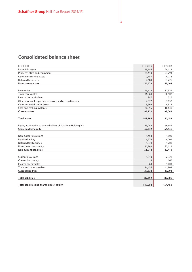# **Consolidated balance sheet**

| In CHF '000                                                   | 31.3.2015    | 30.9.2014 |
|---------------------------------------------------------------|--------------|-----------|
| Intangible assets                                             | 23,186       | 24,112    |
| Property, plant and equipment                                 | 24,410       | 24,794    |
| Other non-current assets                                      | 2,187        | 4,776     |
| Deferred tax assets                                           | 4,689        | 3,726     |
| Non-current assets                                            | 54,472       | 57,408    |
|                                                               |              |           |
| Inventories                                                   | 29,174       | 31,321    |
| Trade receivables                                             | 36,869       | 38,502    |
| Income tax receivables                                        | 387          | 516       |
| Other receivables, prepaid expenses and accrued income        | 4,072        | 3,152     |
| Other current financial assets                                | 3,565        | 4,912     |
| Cash and cash equivalents                                     | 20,055       | 18,640    |
| <b>Current assets</b>                                         | 94,122       | 97,043    |
|                                                               |              |           |
| <b>Total assets</b>                                           | 148,594      | 154,452   |
|                                                               |              |           |
| Equity attributable to equity holders of Schaffner Holding AG | 59,242       | 66,646    |
| Shareholders' equity                                          | 59,242       | 66,646    |
|                                                               |              |           |
| Non-current provisions                                        | 1,453        | 1,900     |
| Pension liability                                             | 6,779        | 4,201     |
| Deferred tax liabilities                                      | 1,039        | 1,200     |
| Non-current borrowings                                        | 41,743       | 35,111    |
| <b>Non-current liabilities</b>                                | 51,014       | 42,412    |
|                                                               |              |           |
| Current provisions                                            | 1,310        | 2,328     |
| <b>Current borrowings</b>                                     | $\mathsf{R}$ | 160       |
| Income tax payables                                           | 564          | 1,003     |
| Trade and other payables                                      | 36,456       | 41,903    |
| <b>Current liabilities</b>                                    | 38,338       | 45,394    |
|                                                               |              |           |
| <b>Total liabilities</b>                                      | 89,352       | 87,806    |
| Total liabilities and shareholders' equity                    | 148,594      | 154,452   |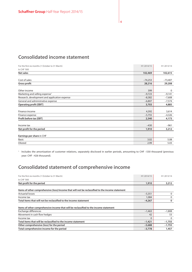# **Consolidated income statement**

| For the first six months (1 October to 31 March) | H1 2014/15 | H1 2013/14 |
|--------------------------------------------------|------------|------------|
| In CHF '000                                      |            |            |
| Net sales                                        | 102,469    | 102,615    |
|                                                  |            |            |
| Cost of sales                                    | $-74,253$  | $-73,407$  |
| <b>Gross profit</b>                              | 28,216     | 29,208     |
|                                                  |            |            |
| Other income                                     | 399        | 0          |
| Marketing and selling expense <sup>1</sup>       | $-9,723$   | $-9,141$   |
| Research, development and application expense    | $-8,382$   | $-7,608$   |
| General and administrative expense               | $-6,807$   | $-7,574$   |
| <b>Operating profit [EBIT]</b>                   | 3,703      | 4,885      |
|                                                  |            |            |
| Finance income                                   | 4,392      | 3,614      |
| Finance expense                                  | $-5,755$   | $-4,326$   |
| Profit before tax [EBT]                          | 2,340      | 4,173      |
|                                                  |            |            |
| Income tax                                       | $-430$     | $-961$     |
| Net profit for the period                        | 1,910      | 3,212      |
|                                                  |            |            |
| Earnings per share in CHF                        |            |            |
| <b>Basic</b>                                     | 3.02       | 5.08       |
| <b>Diluted</b>                                   | 2.99       | 5.03       |

1 Includes the amortization of customer relations, separately disclosed in earlier periods, amounting to CHF –530 thousand (previous year: CHF –426 thousand).

# **Consolidated statement of comprehensive income**

| For the first six months (1 October to 31 March)                                                 | H1 2014/15 | H1 2013/14 |
|--------------------------------------------------------------------------------------------------|------------|------------|
| In CHF '000                                                                                      |            |            |
| Net profit for the period                                                                        | 1,910      | 3,212      |
|                                                                                                  |            |            |
| Items of other comprehensive (loss)/income that will not be reclassified to the income statement |            |            |
| <b>Actuarial losses</b>                                                                          | $-5,351$   | 0          |
| Income tax                                                                                       | 1,084      | 0          |
| Total items that will not be reclassified to the income statement                                | $-4,267$   | 0          |
|                                                                                                  |            |            |
| Items of other comprehensive income that will be reclassified to the income statement            |            |            |
| Exchange differences                                                                             | $-1,463$   | $-1,808$   |
| Movement in cash flow hedges                                                                     | 42         | 53         |
| Income tax                                                                                       | $\Omega$   | $\Omega$   |
| Total items that will be reclassified to the income statement                                    | $-1,421$   | $-1,755$   |
| Other comprehensive (loss) for the period                                                        | $-5,688$   | $-1,755$   |
| Total comprehensive income for the period                                                        | $-3,778$   | 1,457      |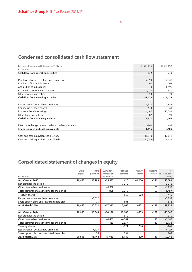# **Condensed consolidated cash flow statement**

| For the first six months (1 October to 31 March)<br>In CHF '000 | H1 2014/15 | H1 2013/14 |
|-----------------------------------------------------------------|------------|------------|
| Cash flow from operating activities                             | 232        | 240        |
|                                                                 |            |            |
| Purchase of property, plant and equipment                       | $-2,594$   | $-2,348$   |
| Purchase of intangible assets                                   | $-497$     | $-162$     |
| Acquisition of subsidiaries                                     | $\Omega$   | $-8,596$   |
| Change in current financial assets                              | 1,410      | $-350$     |
| Other investing activities                                      | 53         | 24         |
| Cash flow from investing activities                             | $-1,628$   | $-11,432$  |
|                                                                 |            |            |
| Repayment of excess share premium                               | $-4,127$   | $-2,852$   |
| Changes in treasury shares                                      | 473        | 361        |
| Proceeds from borrowings                                        | 6,647      | 17,281     |
| Other financing activities                                      | $-82$      | $-91$      |
| Cash flow from financing activities                             | 2,911      | 14,699     |
|                                                                 |            |            |
| Effect of exchange rates on cash and cash equivalents           | $-100$     | $-98$      |
| Change in cash and cash equivalents                             | 1,415      | 3,409      |
|                                                                 |            |            |
| Cash and cash equivalents at 1 October                          | 18,640     | 17,012     |
| Cash and cash equivalents at 31 March                           | 20,055     | 20,421     |

# **Consolidated statement of changes in equity**

|                                               | Share   | Share    | Cumulative  | Retained | Treasury | Hedging | Total         |
|-----------------------------------------------|---------|----------|-------------|----------|----------|---------|---------------|
|                                               | capital | premium  | translation | earnings | shares   | reserve | shareholders' |
| In CHF '000                                   |         |          | differences |          |          |         | equity        |
| At 1 October 2013                             | 20,668  | 53,289   | $-15,537$   | 420      | $-1,050$ | $-241$  | 58,081        |
| Net profit for the period                     |         |          |             | 3,212    |          |         | 3,212         |
| Other comprehensive income                    |         |          | $-1,808$    |          |          | 53      | $-1,755$      |
| Total comprehensive income for the period     |         |          | $-1,808$    | 3,212    |          | 53      | 1,457         |
| Treasury shares                               |         |          |             | $-968$   | 528      |         | $-440$        |
| Repayment of excess share premium             |         | $-2,852$ |             |          |          |         | $-2,852$      |
| Share option plans and restricted share plans |         | 75       |             | 801      |          |         | 876           |
| At 31 March 2014                              | 20,668  | 50,512   | $-17,345$   | 3,465    | $-522$   | $-188$  | 57,122        |
|                                               |         |          |             |          |          |         |               |
| At 1 October 2014                             | 20,668  | 50,543   | $-14,170$   | 10,686   | $-959$   | $-122$  | 66,646        |
| Net profit for the period                     |         |          |             | 1,910    |          |         | 1,910         |
| Other comprehensive income                    |         |          | $-1,463$    | $-4,267$ |          | 42      | $-5,688$      |
| Total comprehensive income for the period     |         |          | $-1,463$    | $-2,357$ |          | 42      | $-3,778$      |
| Treasury shares                               |         |          |             | $-921$   | 660      |         | $-261$        |
| Repayment of excess share premium             |         | $-4,127$ |             |          |          |         | $-4,127$      |
| Share option plans and restricted share plans |         | 28       |             | 734      |          |         | 762           |
| At 31 March 2015                              | 20,668  | 46,444   | $-15,633$   | 8,142    | $-299$   | -80     | 59,242        |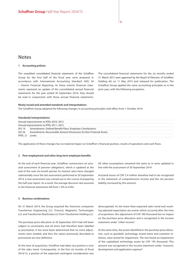# **Notes**

#### **1 Accounting policies**

The unaudited consolidated financial statements of the Schaffner Group for the first half of the fiscal year were prepared in accordance with International Accounting Standard (IAS) 34 – Interim Financial Reporting. As these interim financial statements represent an update of the consolidated annual financial statements for the year ended 30 September 2014, they should be read in conjunction with those annual financial statements.

The consolidated financial statements for the six months ended 31 March 2015 were approved by the Board of Directors of Schaffner Holding AG on 11 May 2015 and released for publication. The Schaffner Group applied the same accounting principles as in the prior year, with the following exceptions.

#### **Newly issued and amended standards and interpretations**

The Schaffner Group adopted the following changes in accounting principles with effect from 1 October 2014:

#### **Standards/interpretations**

| Annual improvements to IFRSs 2010-2012                             |
|--------------------------------------------------------------------|
| Annual improvements to IFRSs 2011-2013                             |
| Amendments-Defined Benefit Plans: Employee Contributions           |
| Amendments-Recoverable Amount Disclosures for Non-Financial Assets |
| <b>Levies</b>                                                      |
|                                                                    |

The application of these changes has no material impact on Schaffner's financial position, results of operations and cash flows.

#### **2 Post-employment and other long-term employee benefits**

At the end of each financial year, Schaffner commissions an actuarial assessment of pension obligations, which is updated at the end of the next six-month period. As interest rates have changed substantially since the last assessment performed at 30 September 2014, a new assessment was carried out in the course of preparing the half-year report. As a result, the average discount rate assumed in the financial statements fell from 1.6% to 0.8%.

#### **3 Business combinations**

On 31 March 2014, the Group acquired the American companies Transformer Engineering LLC (Trenco), Magnetics Technologies LLC and Transformer Real Estate LLC from Transformer Holding LLC.

The purchase price allocation at 30 September 2014 had still been subject to uncertainty and all items had therefore been labelled as provisional. It has since been determined that no more adjustments were needed, and thus the values previously described as provisional are now definitive.

At the time of acquisition, Schaffner had taken too positive a view of the sales trend. Consequently, in the first six months of fiscal 2014/15, a portion of the expected contingent consideration was All other assumptions remained the same as in were updated in line with the assessment of 30 September 2014.

Actuarial losses of CHF 5.4 million therefore had to be recognized in the statement of comprehensive income and the net pension liability increased by this amount.

derecognized. As the lower-than-expected sales trend and resulting adjusted expectation are events which occurred after the time of acquisition, this adjustment of CHF 390 thousand has no impact on the purchase price allocation and is recognized in the income statement under "other income".

At the same time, the assets identified in the purchase price allocation, such as goodwill, technology, brand name and customer relations, were tested for impairment. The test found an impairment of the capitalized technology assets by CHF 195 thousand. This amount was recognized in the income statement under "research, development and application expense".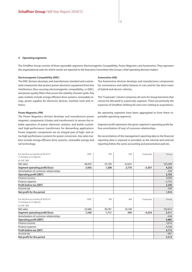#### **4 Operating segments**

The Schaffner Group consists of three reportable segments: Electromagnetic Compatibility, Power Magnetics and Automotive. They represent the organizational units for which results are reported to the Executive Committee (the Group's chief operating decision maker).

#### **Electromagnetic Compatibility (EMC)**

The EMC division develops and manufactures standard and customized components that protect power electronic equipment from line interference (thus assuring electromagnetic compatibility, or EMC), and power quality filters that assure the stability of power grids. Key sales markets include energy-efficient drive systems, renewable energy, power supplies for electronic devices, machine tools and robotics.

#### **Power Magnetics (PM)**

The Power Magnetics division develops and manufactures power magnetic components (chokes and transformers) to ensure the reliable operation of power electronic systems, and builds customized high-performance transformers for demanding applications. Power magnetic components are an integral part of high- and ultra-high-performance systems for power conversion. Key sales markets include energy-efficient drive systems, renewable energy and rail technology.

#### **Automotive (AM)**

The Automotive division develops and manufactures components for convenience and safety features in cars and for the drive trains of hybrid and electric vehicles.

The "Corporate" column comprises all costs for Group functions that cannot be allocated to a particular segment. These are primarily the expenses of Schaffner Holding AG and costs relating to acquisitions.

No operating segments have been aggregated to form these reportable operating segments.

Segment profit represents the given segment's operating profit before amortization (if any) of customer relationships.

No reconciliation of the management reporting data to the financial reporting data is required or provided, as the internal and external reporting follow the same accounting and presentation policies.

| For the first six months of 2014/15<br>(1 October to 31 March) | <b>EMC</b> | <b>PM</b> | AM     | Corporate | Group    |
|----------------------------------------------------------------|------------|-----------|--------|-----------|----------|
| In CHF '000                                                    |            |           |        |           |          |
| Net sales                                                      | 46,650     | 33,196    | 22,623 |           | 102,469  |
| Segment operating profit/(loss)                                | 3,456      | 1,308     | 2,776  | $-3,307$  | 4,233    |
| Amortization of customer relationships                         |            |           |        |           | $-530$   |
| <b>Operating profit [EBIT]</b>                                 |            |           |        |           | 3,703    |
| Finance income                                                 |            |           |        |           | 4,392    |
| Finance expense                                                |            |           |        |           | $-5,755$ |
| Profit before tax [EBT]                                        |            |           |        |           | 2,340    |
| Income tax                                                     |            |           |        |           | $-430$   |
| Net profit for the period                                      |            |           |        |           | 1,910    |
|                                                                |            |           |        |           |          |
| For the first six months of 2013/14                            | <b>EMC</b> | <b>PM</b> | AM     | Corporate | Group    |
| (1 October to 31 March)                                        |            |           |        |           |          |
| In CHF '000                                                    |            |           |        |           |          |
| Net sales                                                      | 53,686     | 30,781    | 18,148 |           | 102,615  |
| Segment operating profit/(loss)                                | 7,240      | 1,711     | 594    | $-4,234$  | 5,311    |
| Amortization of customer relationships                         |            |           |        |           | $-426$   |
| <b>Operating profit [EBIT]</b>                                 |            |           |        |           | 4,885    |
| Finance income                                                 |            |           |        |           | 3,614    |
| Finance expense                                                |            |           |        |           | $-4,326$ |
| Profit before tax [EBT]                                        |            |           |        |           | 4,173    |
| Income tax                                                     |            |           |        |           | $-961$   |

**Net profit for the period 3,212**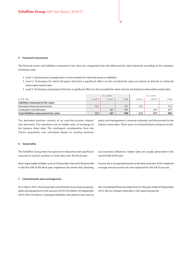#### **5 Financial instruments**

The financial assets and liabilities measured at fair value are categorized into the following fair value hierarchy according to the valuation technique used:

- > Level 1: Quoted prices (unadjusted) in active markets for identical assets or liabilities.
- > Level 2: Techniques for which all inputs that have a significant effect on the recorded fair value are based on directly or indirectly observable market data.
- > Level 3: Techniques using inputs that have a significant effect on the recorded fair value and are not based on observable market data.

|                                          | 31.3.2015          |         | 31.3.2014 |         |         |       |
|------------------------------------------|--------------------|---------|-----------|---------|---------|-------|
| In CHF '000                              | Level <sub>2</sub> | Level 3 | Total     | Level 2 | Level 3 | Total |
| Liabilities measured at fair value       |                    |         |           |         |         |       |
| Derivative financial instruments         | 121                |         | 121       | 212     |         | 212   |
| Contingent consideration                 |                    | 187     | 187       |         | 677     | 677   |
| Total liabilities measured at fair value | 121                | 187     | 308       | 212     | 677     | 889   |

The derivative position consists of an over-the-counter interest rate derivative. The valuations are at middle rates of exchange at the balance sheet date. The contingent consideration from the Trenco acquisition was calculated based on existing business plans and management's revenue estimates and discounted to the balance sheet date. There were no reclassifications between levels.

#### **6 Seasonality**

The Schaffner Group does not operate in industries with significant seasonal or cyclical variation in total sales over the fiscal year.

Since major public holidays such as Chinese New Year and Christmas fall in the first half of the fiscal year, experience has shown that, factoring out economic influences, higher sales are usually generated in the second half of the year.

Income tax is recognized based on the best estimate of the weighted average annual income tax rate expected for the full fiscal year.

#### **7 Commitments and contingencies**

At 31 March 2015, the Group had commitments to purchase property, plant and equipment in the amount of CHF 0.8 million (30 September 2014: CHF 0.9 million). Contingent liabilities, described in the notes to the consolidated financial statements for the year ended 30 September 2014, did not change materially in the reporting period.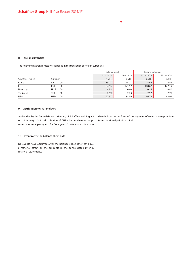#### **8 Foreign currencies**

The following exchange rates were applied in the translation of foreign currencies:

|                   |                   |           | Balance sheet |            | Income statement |
|-------------------|-------------------|-----------|---------------|------------|------------------|
|                   |                   | 31.3.2015 | 30.9.2014     | H1 2014/15 | H1 2013/14       |
| Country or region | Currency          | in CHF    | in CHF        | in CHF     | in CHF           |
| China             | <b>CNY</b><br>100 | 15.71     | 14.23         | 15.62      | 14.44            |
| EU                | 100<br>EUR        | 104.55    | 121.92        | 108.67     | 122.19           |
| Hungary           | HUF<br>100        | 0.35      | 0.40          | 0.36       | 0.40             |
| Thailand          | 100<br>THB        | 2.99      | 2.73          | 2.97       | 2.75             |
| <b>USA</b>        | USD<br>100        | 97.37     | 88.39         | 96.78      | 88.96            |

#### **9 Distribution to shareholders**

As decided by the Annual General Meeting of Schaffner Holding AG on 15 January 2015, a distribution of CHF 6.50 per share (exempt from Swiss anticipatory tax) for fiscal year 2013/14 was made to the

shareholders in the form of a repayment of excess share premium from additional paid-in capital.

### **10 Events after the balance sheet date**

No events have occurred after the balance sheet date that have a material effect on the amounts in the consolidated interim financial statements.